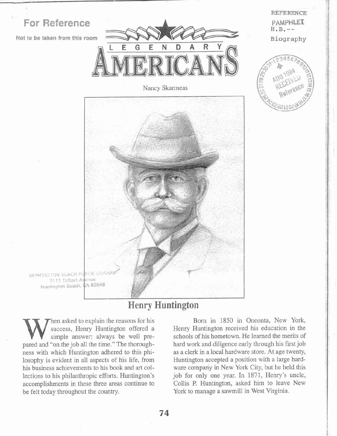

Nancy Skanneas



 $H.B. --$ Biography

REFERENCE

PAMPHLET

HUNTINGTON BEACH PUBLIC DEVIAL 7111 Talbert Ayenus Hustington Beach, CA 82648

## **Henry Huntington**

hen asked to explain the reasons for his success, Henry Huntington offered a simple answer: always be well prepared and "on the job all the time." The thoroughness with which Huntington adhered to this philosophy is evident in all aspects of his life, from his business achievements to his book and art collections to his philanthropic efforts. Huntington's accomplishments in these three areas continue to be felt today throughout the country.

Born in 1850 in Oneonta, New York, Henry Huntington received his education in the schools of his hometown. He learned the merits of hard work and diligence early through his first job as a clerk in a local hardware store. At age twenty, Huntington accepted a position with a large hardware company in New York City, but he held this job for only one year. In 1871, Henry's uncle, Collis P. Huntington, asked him to leave New York to manage a sawmill in West Virginia.